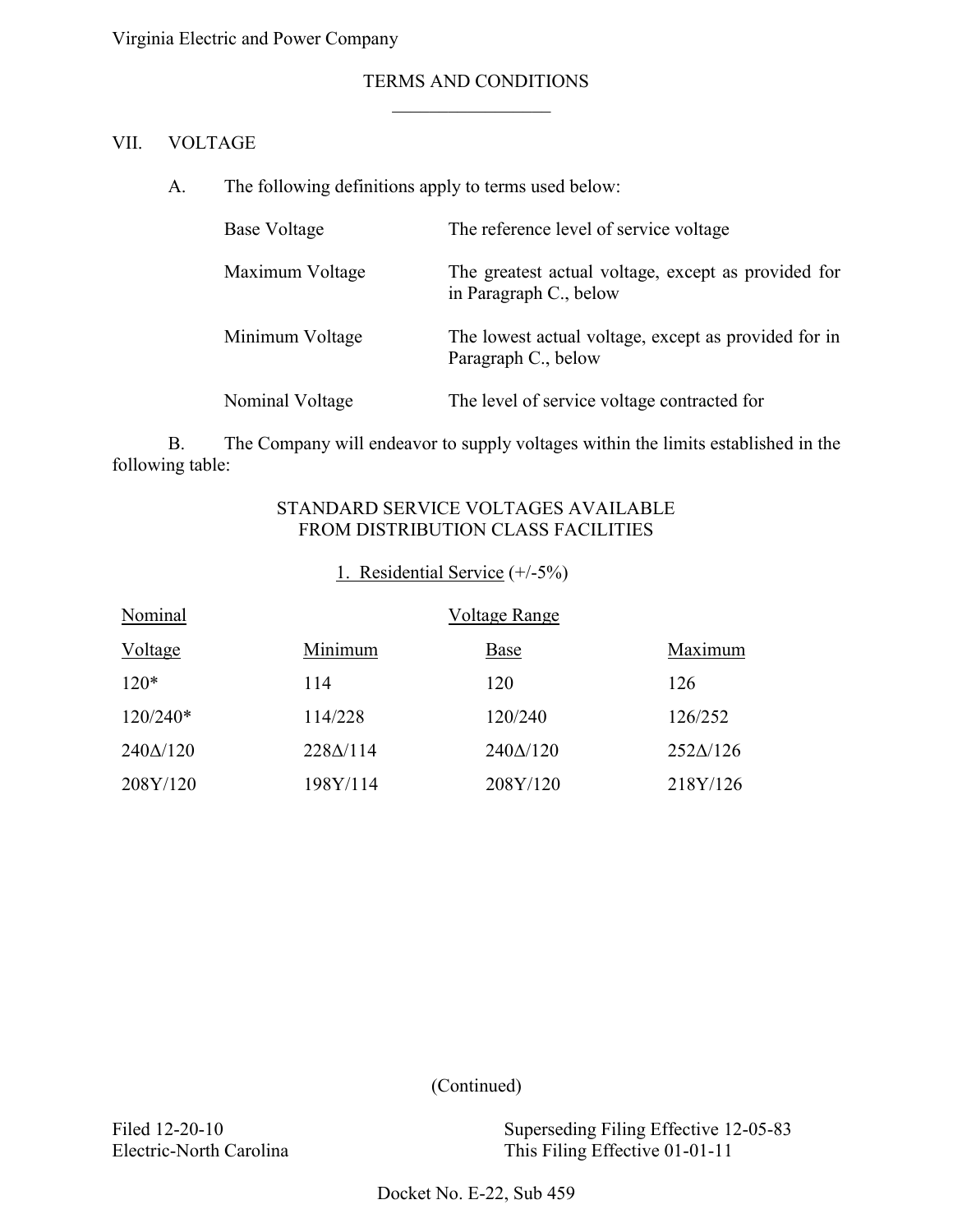Virginia Electric and Power Company

#### $\mathcal{L}=\mathcal{L}=\mathcal{L}=\mathcal{L}=\mathcal{L}=\mathcal{L}=\mathcal{L}=\mathcal{L}=\mathcal{L}=\mathcal{L}=\mathcal{L}=\mathcal{L}=\mathcal{L}=\mathcal{L}=\mathcal{L}=\mathcal{L}=\mathcal{L}=\mathcal{L}=\mathcal{L}=\mathcal{L}=\mathcal{L}=\mathcal{L}=\mathcal{L}=\mathcal{L}=\mathcal{L}=\mathcal{L}=\mathcal{L}=\mathcal{L}=\mathcal{L}=\mathcal{L}=\mathcal{L}=\mathcal{L}=\mathcal{L}=\mathcal{L}=\mathcal{L}=\mathcal{L}=\mathcal{$ TERMS AND CONDITIONS

#### VII. VOLTAGE

A. The following definitions apply to terms used below:

| Base Voltage    | The reference level of service voltage                                        |
|-----------------|-------------------------------------------------------------------------------|
| Maximum Voltage | The greatest actual voltage, except as provided for<br>in Paragraph C., below |
| Minimum Voltage | The lowest actual voltage, except as provided for in<br>Paragraph C., below   |
| Nominal Voltage | The level of service voltage contracted for                                   |

B. The Company will endeavor to supply voltages within the limits established in the following table:

## STANDARD SERVICE VOLTAGES AVAILABLE FROM DISTRIBUTION CLASS FACILITIES

| 1. Residential Service $(+/-5%)$ |                 |                      |                 |  |  |
|----------------------------------|-----------------|----------------------|-----------------|--|--|
| Nominal                          |                 | <b>Voltage Range</b> |                 |  |  |
| <u>Voltage</u>                   | Minimum         | <u>Base</u>          | Maximum         |  |  |
| $120*$                           | 114             | 120                  | 126             |  |  |
| $120/240*$                       | 114/228         | 120/240              | 126/252         |  |  |
| $240\Delta/120$                  | $228\Delta/114$ | $240\Delta/120$      | $252\Delta/126$ |  |  |
| 208Y/120                         | 198Y/114        | 208Y/120             | 218Y/126        |  |  |

(Continued)

Filed 12-20-10<br>
Superseding Filing Effective 12-05-83<br>
This Filing Effective 01-01-11 This Filing Effective  $01-01-11$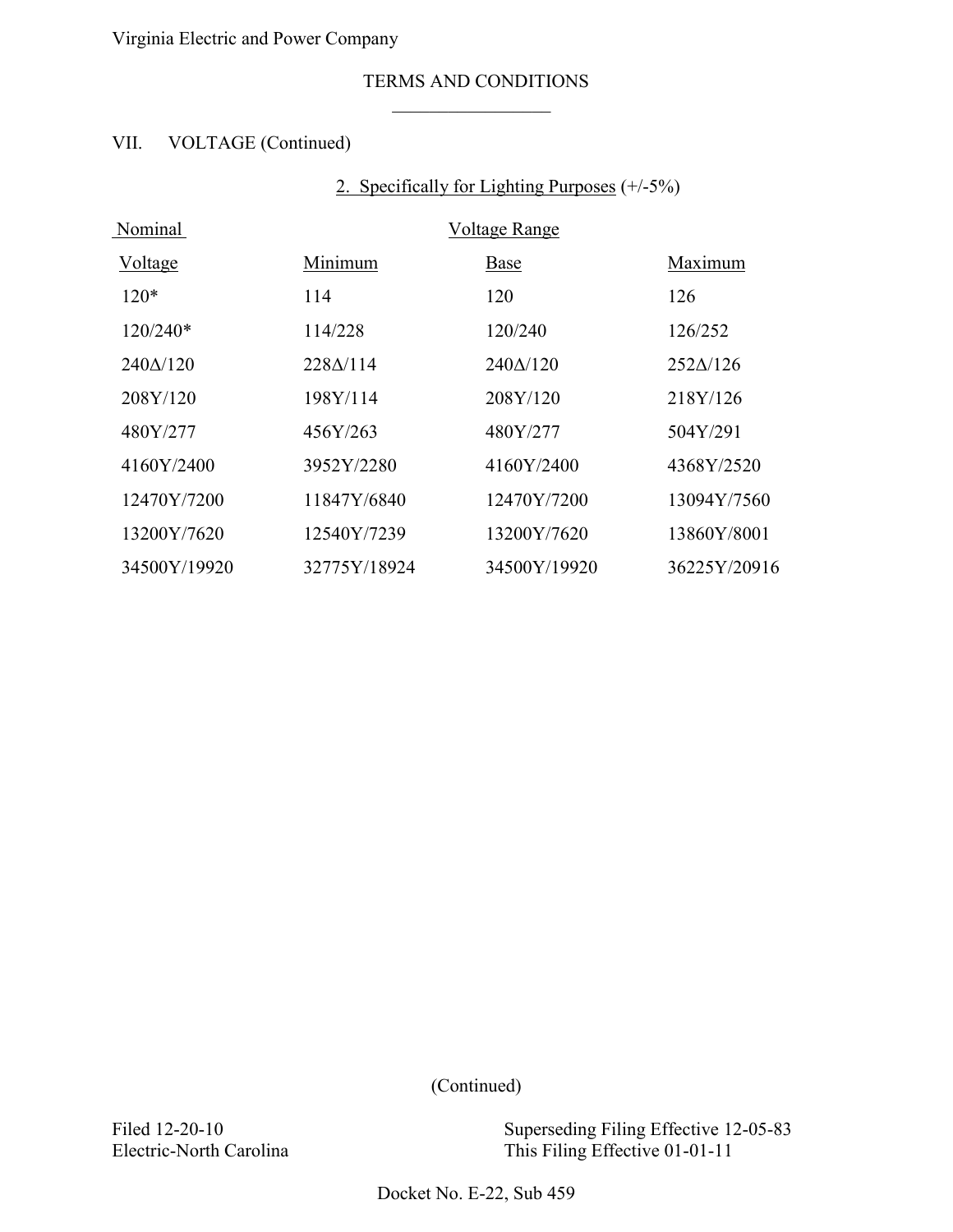## TERMS AND CONDITIONS  $\mathcal{L}=\mathcal{L}=\mathcal{L}=\mathcal{L}=\mathcal{L}=\mathcal{L}=\mathcal{L}=\mathcal{L}=\mathcal{L}=\mathcal{L}=\mathcal{L}=\mathcal{L}=\mathcal{L}=\mathcal{L}=\mathcal{L}=\mathcal{L}=\mathcal{L}=\mathcal{L}=\mathcal{L}=\mathcal{L}=\mathcal{L}=\mathcal{L}=\mathcal{L}=\mathcal{L}=\mathcal{L}=\mathcal{L}=\mathcal{L}=\mathcal{L}=\mathcal{L}=\mathcal{L}=\mathcal{L}=\mathcal{L}=\mathcal{L}=\mathcal{L}=\mathcal{L}=\mathcal{L}=\mathcal{$

# VII. VOLTAGE (Continued)

## 2. Specifically for Lighting Purposes (+/-5%)

| Nominal         | Voltage Range   |                 |                 |
|-----------------|-----------------|-----------------|-----------------|
| <u>Voltage</u>  | Minimum         | Base            | Maximum         |
| $120*$          | 114             | 120             | 126             |
| $120/240*$      | 114/228         | 120/240         | 126/252         |
| $240\Delta/120$ | $228\Delta/114$ | $240\Delta/120$ | $252\Delta/126$ |
| 208Y/120        | 198Y/114        | 208Y/120        | 218Y/126        |
| 480Y/277        | 456Y/263        | 480Y/277        | 504Y/291        |
| 4160Y/2400      | 3952Y/2280      | 4160Y/2400      | 4368Y/2520      |
| 12470Y/7200     | 11847Y/6840     | 12470Y/7200     | 13094Y/7560     |
| 13200Y/7620     | 12540Y/7239     | 13200Y/7620     | 13860Y/8001     |
| 34500Y/19920    | 32775Y/18924    | 34500Y/19920    | 36225Y/20916    |

(Continued)

Filed 12-20-10 Superseding Filing Effective 12-05-83 Electric-North Carolina This Filing Effective 01-01-11

Docket No. E-22, Sub 459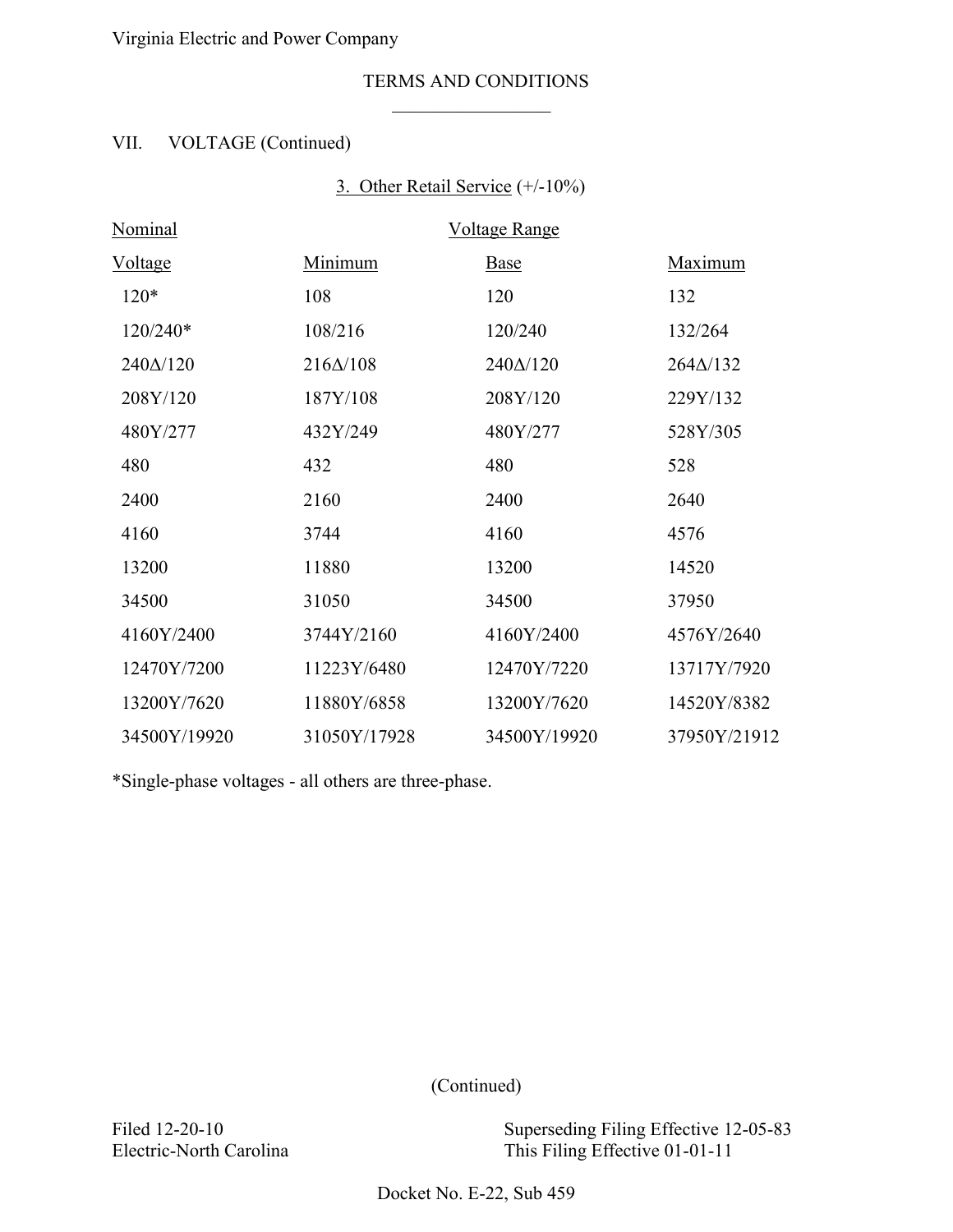## TERMS AND CONDITIONS  $\mathcal{L}=\mathcal{L}=\mathcal{L}=\mathcal{L}=\mathcal{L}=\mathcal{L}=\mathcal{L}=\mathcal{L}=\mathcal{L}=\mathcal{L}=\mathcal{L}=\mathcal{L}=\mathcal{L}=\mathcal{L}=\mathcal{L}=\mathcal{L}=\mathcal{L}=\mathcal{L}=\mathcal{L}=\mathcal{L}=\mathcal{L}=\mathcal{L}=\mathcal{L}=\mathcal{L}=\mathcal{L}=\mathcal{L}=\mathcal{L}=\mathcal{L}=\mathcal{L}=\mathcal{L}=\mathcal{L}=\mathcal{L}=\mathcal{L}=\mathcal{L}=\mathcal{L}=\mathcal{L}=\mathcal{$

# VII. VOLTAGE (Continued)

# 3. Other Retail Service (+/-10%)

| Nominal         |                 | Voltage Range   |                 |  |
|-----------------|-----------------|-----------------|-----------------|--|
| <u>Voltage</u>  | Minimum         | <b>Base</b>     | Maximum         |  |
| $120*$          | 108             | 120             | 132             |  |
| $120/240*$      | 108/216         | 120/240         | 132/264         |  |
| $240\Delta/120$ | $216\Delta/108$ | $240\Delta/120$ | $264\Delta/132$ |  |
| 208Y/120        | 187Y/108        | 208Y/120        | 229Y/132        |  |
| 480Y/277        | 432Y/249        | 480Y/277        | 528Y/305        |  |
| 480             | 432             | 480             | 528             |  |
| 2400            | 2160            | 2400            | 2640            |  |
| 4160            | 3744            | 4160            | 4576            |  |
| 13200           | 11880           | 13200           | 14520           |  |
| 34500           | 31050           | 34500           | 37950           |  |
| 4160Y/2400      | 3744Y/2160      | 4160Y/2400      | 4576Y/2640      |  |
| 12470Y/7200     | 11223Y/6480     | 12470Y/7220     | 13717Y/7920     |  |
| 13200Y/7620     | 11880Y/6858     | 13200Y/7620     | 14520Y/8382     |  |
| 34500Y/19920    | 31050Y/17928    | 34500Y/19920    | 37950Y/21912    |  |

\*Single-phase voltages - all others are three-phase.

(Continued)

Filed 12-20-10 Superseding Filing Effective 12-05-83 Electric-North Carolina This Filing Effective 01-01-11

Docket No. E-22, Sub 459